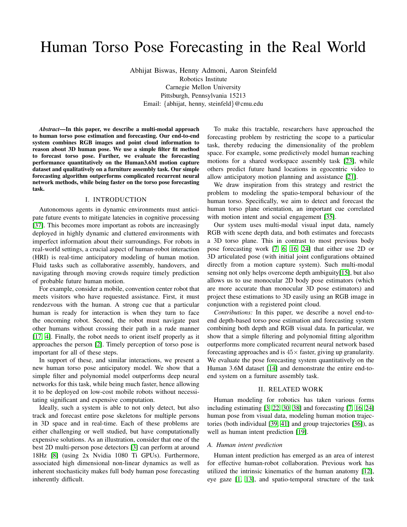# <span id="page-0-0"></span>Human Torso Pose Forecasting in the Real World

Abhijat Biswas, Henny Admoni, Aaron Steinfeld Robotics Institute Carnegie Mellon University Pittsburgh, Pennsylvania 15213 Email: {abhijat, henny, steinfeld}@cmu.edu

*Abstract*—In this paper, we describe a multi-modal approach to human torso pose estimation and forecasting. Our end-to-end system combines RGB images and point cloud information to reason about 3D human pose. We use a simple filter fit method to forecast torso pose. Further, we evaluate the forecasting performance quantitatively on the Human3.6M motion capture dataset and qualitatively on a furniture assembly task. Our simple forecasting algorithm outperforms complicated recurrent neural network methods, while being faster on the torso pose forecasting task.

#### I. INTRODUCTION

Autonomous agents in dynamic environments must anticipate future events to mitigate latencies in cognitive processing [\[37\]](#page-5-0). This becomes more important as robots are increasingly deployed in highly dynamic and cluttered environments with imperfect information about their surroundings. For robots in real-world settings, a crucial aspect of human-robot interaction (HRI) is real-time anticipatory modeling of human motion. Fluid tasks such as collaborative assembly, handovers, and navigating through moving crowds require timely prediction of probable future human motion.

For example, consider a mobile, convention center robot that meets visitors who have requested assistance. First, it must rendezvous with the human. A strong cue that a particular human is ready for interaction is when they turn to face the oncoming robot. Second, the robot must navigate past other humans without crossing their path in a rude manner [\[17,](#page-4-0) [4\]](#page-4-1). Finally, the robot needs to orient itself properly as it approaches the person [\[2\]](#page-4-2). Timely perception of torso pose is important for all of these steps.

In support of these, and similar interactions, we present a new human torso pose anticipatory model. We show that a simple filter and polynomial model outperforms deep neural networks for this task, while being much faster, hence allowing it to be deployed on low-cost mobile robots without necessitating significant and expensive computation.

Ideally, such a system is able to not only detect, but also track and forecast entire pose skeletons for multiple persons in 3D space and in real-time. Each of these problems are either challenging or well studied, but have computationally expensive solutions. As an illustration, consider that one of the best 2D multi-person pose detectors [\[3\]](#page-4-3) can perform at around 18Hz [\[8\]](#page-4-4) (using 2x Nvidia 1080 Ti GPUs). Furthermore, associated high dimensional non-linear dynamics as well as inherent stochasticity makes full body human pose forecasting inherently difficult.

To make this tractable, researchers have approached the forecasting problem by restricting the scope to a particular task, thereby reducing the dimensionality of the problem space. For example, some predictively model human reaching motions for a shared workspace assembly task [\[23\]](#page-4-5), while others predict future hand locations in egocentric video to allow anticipatory motion planning and assistance [\[21\]](#page-4-6).

We draw inspiration from this strategy and restrict the problem to modeling the spatio-temporal behaviour of the human torso. Specifically, we aim to detect and forecast the human torso plane orientation, an important cue correlated with motion intent and social engagement [\[35\]](#page-5-1).

Our system uses multi-modal visual input data, namely RGB with scene depth data, and both estimates and forecasts a 3D torso plane. This in contrast to most previous body pose forecasting work [\[7,](#page-4-7) [6,](#page-4-8) [16,](#page-4-9) [24\]](#page-4-10) that either use 2D or 3D articulated pose (with initial joint configurations obtained directly from a motion capture system). Such multi-modal sensing not only helps overcome depth ambiguity[\[15\]](#page-4-11), but also allows us to use monocular 2D body pose estimators (which are more accurate than monocular 3D pose estimators) and project these estimations to 3D easily using an RGB image in conjunction with a registered point cloud.

*Contributions:* In this paper, we describe a novel end-toend depth-based torso pose estimation and forecasting system combining both depth and RGB visual data. In particular, we show that a simple filtering and polynomial fitting algorithm outperforms more complicated recurrent neural network based forecasting approaches and is  $45\times$  faster, giving up granularity. We evaluate the pose forecasting system quantitatively on the Human 3.6M dataset [\[14\]](#page-4-12) and demonstrate the entire end-toend system on a furniture assembly task.

### II. RELATED WORK

Human modeling for robotics has taken various forms including estimating [\[3,](#page-4-3) [22,](#page-4-13) [30,](#page-5-2) [38\]](#page-5-3) and forecasting [\[7,](#page-4-7) [16,](#page-4-9) [24\]](#page-4-10) human pose from visual data, modeling human motion trajectories (both individual [\[39,](#page-5-4) [41\]](#page-5-5) and group trajectories [\[36\]](#page-5-6)), as well as human intent prediction [\[19\]](#page-4-14).

## *A. Human intent prediction*

Human intent prediction has emerged as an area of interest for effective human-robot collaboration. Previous work has utilized the intrinsic kinematics of the human anatomy [\[12\]](#page-4-15), eye gaze [\[1,](#page-4-16) [13\]](#page-4-17), and spatio-temporal structure of the task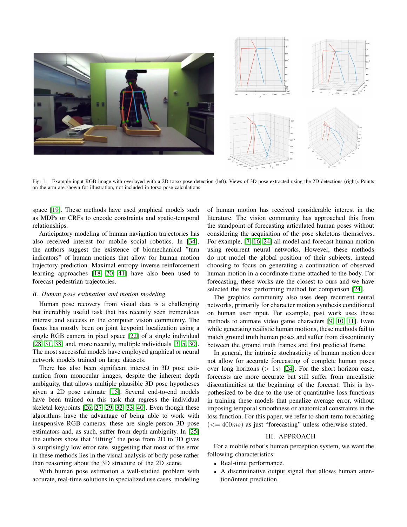

Fig. 1. Example input RGB image with overlayed with a 2D torso pose detection (left). Views of 3D pose extracted using the 2D detections (right). Points on the arm are shown for illustration, not included in torso pose calculations

<span id="page-1-0"></span>space [\[19\]](#page-4-14). These methods have used graphical models such as MDPs or CRFs to encode constraints and spatio-temporal relationships.

Anticipatory modeling of human navigation trajectories has also received interest for mobile social robotics. In [\[34\]](#page-5-7), the authors suggest the existence of biomechanical "turn indicators" of human motions that allow for human motion trajectory prediction. Maximal entropy inverse reinforcement learning approaches [\[18,](#page-4-18) [20,](#page-4-19) [41\]](#page-5-5) have also been used to forecast pedestrian trajectories.

## *B. Human pose estimation and motion modeling*

Human pose recovery from visual data is a challenging but incredibly useful task that has recently seen tremendous interest and success in the computer vision community. The focus has mostly been on joint keypoint localization using a single RGB camera in pixel space [\[22\]](#page-4-13) of a single individual [\[28,](#page-5-8) [31,](#page-5-9) [38\]](#page-5-3) and, more recently, multiple individuals [\[3,](#page-4-3) [5,](#page-4-20) [30\]](#page-5-2). The most successful models have employed graphical or neural network models trained on large datasets.

There has also been significant interest in 3D pose estimation from monocular images, despite the inherent depth ambiguity, that allows multiple plausible 3D pose hypotheses given a 2D pose estimate [\[15\]](#page-4-11). Several end-to-end models have been trained on this task that regress the individual skeletal keypoints [\[26,](#page-4-21) [27,](#page-5-10) [29,](#page-5-11) [32,](#page-5-12) [33,](#page-5-13) [40\]](#page-5-14). Even though these algorithms have the advantage of being able to work with inexpensive RGB cameras, these are single-person 3D pose estimators and, as such, suffer from depth ambiguity. In [\[25\]](#page-4-22) the authors show that "lifting" the pose from 2D to 3D gives a surprisingly low error rate, suggesting that most of the error in these methods lies in the visual analysis of body pose rather than reasoning about the 3D structure of the 2D scene.

With human pose estimation a well-studied problem with accurate, real-time solutions in specialized use cases, modeling of human motion has received considerable interest in the literature. The vision community has approached this from the standpoint of forecasting articulated human poses without considering the acquisition of the pose skeletons themselves. For example, [\[7,](#page-4-7) [16,](#page-4-9) [24\]](#page-4-10) all model and forecast human motion using recurrent neural networks. However, these methods do not model the global position of their subjects, instead choosing to focus on generating a continuation of observed human motion in a coordinate frame attached to the body. For forecasting, these works are the closest to ours and we have selected the best performing method for comparison [\[24\]](#page-4-10).

The graphics community also uses deep recurrent neural networks, primarily for character motion synthesis conditioned on human user input. For example, past work uses these methods to animate video game characters [\[9,](#page-4-23) [10,](#page-4-24) [11\]](#page-4-25). Even while generating realistic human motions, these methods fail to match ground truth human poses and suffer from discontinuity between the ground truth frames and first predicted frame.

In general, the intrinsic stochasticity of human motion does not allow for accurate forecasting of complete human poses over long horizons  $(> 1s)$  [\[24\]](#page-4-10). For the short horizon case, forecasts are more accurate but still suffer from unrealistic discontinuities at the beginning of the forecast. This is hypothesized to be due to the use of quantitative loss functions in training these models that penalize average error, without imposing temporal smoothness or anatomical constraints in the loss function. For this paper, we refer to short-term forecasting  $\left(\langle=400ms\right)$  as just "forecasting" unless otherwise stated.

# III. APPROACH

For a mobile robot's human perception system, we want the following characteristics:

- Real-time performance.
- A discriminative output signal that allows human attention/intent prediction.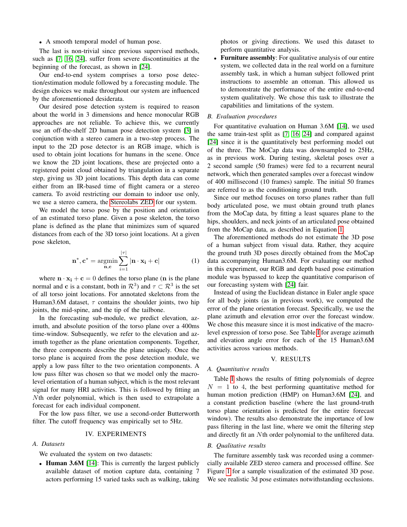## • A smooth temporal model of human pose.

The last is non-trivial since previous supervised methods, such as [\[7,](#page-4-7) [16,](#page-4-9) [24\]](#page-4-10), suffer from severe discontinuities at the beginning of the forecast, as shown in [\[24\]](#page-4-10).

Our end-to-end system comprises a torso pose detection/estimation module followed by a forecasting module. The design choices we make throughout our system are influenced by the aforementioned desiderata.

Our desired pose detection system is required to reason about the world in 3 dimensions and hence monocular RGB approaches are not reliable. To achieve this, we currently use an off-the-shelf 2D human pose detection system [\[3\]](#page-4-3) in conjunction with a stereo camera in a two-step process. The input to the 2D pose detector is an RGB image, which is used to obtain joint locations for humans in the scene. Once we know the 2D joint locations, these are projected onto a registered point cloud obtained by triangulation in a separate step, giving us 3D joint locations. This depth data can come either from an IR-based time of flight camera or a stereo camera. To avoid restricting our domain to indoor use only, we use a stereo camera, the [Stereolabs ZED](#page-0-0) for our system.

We model the torso pose by the position and orientation of an estimated torso plane. Given a pose skeleton, the torso plane is defined as the plane that minimizes sum of squared distances from each of the 3D torso joint locations. At a given pose skeleton,

<span id="page-2-0"></span>
$$
\mathbf{n}^*, \mathbf{c}^* = \underset{\mathbf{n}, \mathbf{c}}{\operatorname{argmin}} \sum_{i=1}^{|\tau|} |\mathbf{n} \cdot \mathbf{x}_i + \mathbf{c}| \tag{1}
$$

where  $\mathbf{n} \cdot \mathbf{x_i} + \mathbf{c} = 0$  defines the torso plane (**n** is the plane normal and c is a constant, both in  $\mathcal{R}^3$ ) and  $\tau \subset \mathcal{R}^3$  is the set of all torso joint locations. For annotated skeletons from the Human3.6M dataset,  $\tau$  contains the shoulder joints, two hip joints, the mid-spine, and the tip of the tailbone.

In the forecasting sub-module, we predict elevation, azimuth, and absolute position of the torso plane over a 400ms time-window. Subsequently, we refer to the elevation and azimuth together as the plane orientation components. Together, the three components describe the plane uniquely. Once the torso plane is acquired from the pose detection module, we apply a low pass filter to the two orientation components. A low pass filter was chosen so that we model only the macrolevel orientation of a human subject, which is the most relevant signal for many HRI activities. This is followed by fitting an Nth order polynomial, which is then used to extrapolate a forecast for each individual component.

For the low pass filter, we use a second-order Butterworth filter. The cutoff frequency was empirically set to 5Hz.

# IV. EXPERIMENTS

## *A. Datasets*

We evaluated the system on two datasets:

• Human 3.6M [\[14\]](#page-4-12): This is currently the largest publicly available dataset of motion capture data, containing 7 actors performing 15 varied tasks such as walking, taking photos or giving directions. We used this dataset to perform quantitative analysis.

• Furniture assembly: For qualitative analysis of our entire system, we collected data in the real world on a furniture assembly task, in which a human subject followed print instructions to assemble an ottoman. This allowed us to demonstrate the performance of the entire end-to-end system qualitatively. We chose this task to illustrate the capabilities and limitations of the system.

# *B. Evaluation procedures*

For quantitative evaluation on Human 3.6M [\[14\]](#page-4-12), we used the same train-test split as [\[7,](#page-4-7) [16,](#page-4-9) [24\]](#page-4-10) and compared against [\[24\]](#page-4-10) since it is the quantitatively best performing model out of the three. The MoCap data was downsampled to 25Hz, as in previous work. During testing, skeletal poses over a 2 second sample (50 frames) were fed to a recurrent neural network, which then generated samples over a forecast window of 400 millisecond (10 frames) sample. The initial 50 frames are referred to as the conditioning ground truth.

Since our method focuses on torso planes rather than full body articulated pose, we must obtain ground truth planes from the MoCap data, by fitting a least squares plane to the hips, shoulders, and neck joints of an articulated pose obtained from the MoCap data, as described in Equation [1.](#page-2-0)

The aforementioned methods do not estimate the 3D pose of a human subject from visual data. Rather, they acquire the ground truth 3D poses directly obtained from the MoCap data accompanying Human3.6M. For evaluating our method in this experiment, our RGB and depth based pose estimation module was bypassed to keep the quantitative comparison of our forecasting system with [\[24\]](#page-4-10) fair.

Instead of using the Euclidean distance in Euler angle space for all body joints (as in previous work), we computed the error of the plane orientation forecast. Specifically, we use the plane azimuth and elevation error over the forecast window. We chose this measure since it is most indicative of the macrolevel expression of torso pose. See Table [I](#page-3-0) for average azimuth and elevation angle error for each of the 15 Human3.6M activities across various methods.

## V. RESULTS

## *A. Quantitative results*

Table [I](#page-3-0) shows the results of fitting polynomials of degree  $N = 1$  to 4, the best performing quantitative method for human motion prediction (HMP) on Human3.6M [\[24\]](#page-4-10), and a constant prediction baseline (where the last ground-truth torso plane orientation is predicted for the entire forecast window). The results also demonstrate the importance of low pass filtering in the last line, where we omit the filtering step and directly fit an Nth order polynomial to the unfiltered data.

#### *B. Qualitative results*

The furniture assembly task was recorded using a commercially available ZED stereo camera and processed offline. See Figure [1](#page-1-0) for a sample visualization of the estimated 3D pose. We see realistic 3d pose estimates notwithstanding occlusions.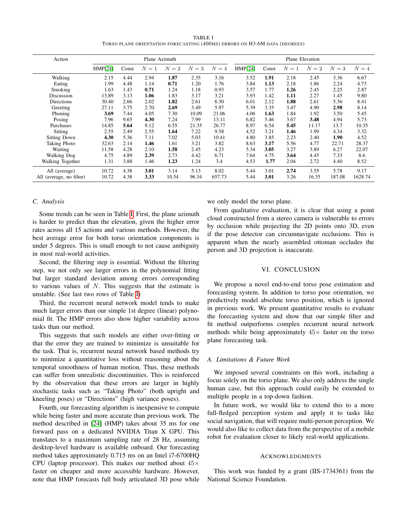TABLE I TORSO PLANE ORIENTATION FORECASTING (400MS) ERRORS ON H3.6M DATA (DEGREES)

<span id="page-3-0"></span>

| Action                                    | Plane Azimuth  |              |              |               |               |                | Plane Elevation |              |              |               |                |                 |
|-------------------------------------------|----------------|--------------|--------------|---------------|---------------|----------------|-----------------|--------------|--------------|---------------|----------------|-----------------|
|                                           | <b>HMP[24]</b> | Const        | $N=1$        | $N=2$         | $N=3$         | $N=4$          | <b>HMP[24]</b>  | Const        | $N=1$        | $N=2$         | $N=3$          | $N=4$           |
| Walking                                   | 2.15           | 4.44         | 2.94         | 1.87          | 2.35          | 3.16           | 3.52            | 1.91         | 2.18         | 2.45          | 3.36           | 6.67            |
| Eating                                    | 1.99           | 4.48         | 1.14         | 0.71          | 1.20          | 1.76           | 3.84            | 1.13         | 2.18         | 1.86          | 2.24           | 4.73            |
| Smoking                                   | 1.63           | 1.43         | 0.71         | 1.24          | 1.18          | 0.93           | 3.57            | 1.77         | 1.26         | 2.45          | 2.25           | 2.87            |
| Discussion                                | 13.89          | 3.13         | 1.06         | 1.83          | 3.17          | 3.21           | 3.93            | 1.42         | 1.11         | 2.27          | 1.45           | 9.80            |
| Directions                                | 30.40          | 2.66         | 2.02         | 1.82          | 2.61          | 6.30           | 6.01            | 2.12         | 1.88         | 2.61          | 5.36           | 8.41            |
| Greeting                                  | 27.11          | 3.75         | 2.70         | 2.69          | 3.49          | 5.97           | 5.39            | 3.35         | 3.47         | 4.90          | 2.98           | 8.14            |
| Phoning                                   | 3.69           | 7.44         | 4.05         | 7.30          | 10.09         | 21.06          | 4.06            | 1.63         | 1.84         | 1.92          | 3.50           | 5.45            |
| Posing                                    | 7.96           | 9.65         | 4.30         | 7.24          | 7.99          | 13.11          | 6.82            | 5.46         | 3.67         | 3.48          | 4.94           | 5.73            |
| Purchases                                 | 14.85          | 5.64         | 9.12         | 6.55          | 21.35         | 26.77          | 8.97            | 6.54         | 5.45         | 11.17         | 13.7           | 10.35           |
| Sitting                                   | 2.55           | 2.49         | 2.55         | 1.64          | 7.22          | 9.58           | 4.52            | 3.21         | 1.46         | 1.99          | 4.34           | 3.32            |
| Sitting Down                              | 4.30           | 5.36         | 7.11         | 7.02          | 5.03          | 10.41          | 4.80            | 3.85         | 2.23         | 2.40          | 1.90           | 4.52            |
| Taking Photo                              | 32.63          | 2.14         | 1.46         | 1.61          | 3.21          | 3.82           | 8.63            | 3.17         | 5.56         | 4.77          | 22.71          | 28.37           |
| Waiting                                   | 11.58          | 4.28         | 2.10         | 1.58          | 2.45          | 4.23           | 5.34            | 3.05         | 3.27         | 3.89          | 6.27           | 22.07           |
| Walking Dog                               | 4.75           | 4.89         | 2.39         | 2.73          | 4.42          | 6.71           | 7.64            | 4.75         | 3.64         | 4.45          | 7.33           | 8.6             |
| Walking Together                          | 1.31           | 3.88         | 1.46         | 1.23          | 1.24          | 3.4            | 4.53            | 1.77         | 2.04         | 2.72          | 4.40           | 8.52            |
| All (average)<br>All (average, no filter) | 10.72<br>10.72 | 4.38<br>4.38 | 3.01<br>3.33 | 3.14<br>10.54 | 5.13<br>96.34 | 8.02<br>657.73 | 5.44<br>5.44    | 3.01<br>3.01 | 2.74<br>3.26 | 3.55<br>16.35 | 5.78<br>187.08 | 9.17<br>1628.74 |

# *C. Analysis*

Some trends can be seen in Table [I.](#page-3-0) First, the plane azimuth is harder to predict than the elevation, given the higher error rates across all 15 actions and various methods. However, the best average error for both torso orientation components is under 5 degrees. This is small enough to not cause ambiguity in most real-world activities.

Second, the filtering step is essential. Without the filtering step, we not only see larger errors in the polynomial fitting but larger standard deviation among errors corresponding to various values of  $N$ . This suggests that the estimate is unstable. (See last two rows of Table [I\)](#page-3-0)

Third, the recurrent neural network model tends to make much larger errors than our simple 1st degree (linear) polynomial fit. The HMP errors also show higher variability across tasks than our method.

This suggests that such models are either over-fitting or that the error they are trained to minimize is unsuitable for the task. That is, recurrent neural network based methods try to minimize a quantitative loss without reasoning about the temporal smoothness of human motion. Thus, these methods can suffer from unrealistic discontinuities. This is reinforced by the observation that these errors are larger in highly stochastic tasks such as "Taking Photo" (both upright and kneeling poses) or "Directions" (high variance poses).

Fourth, our forecasting algorithm is inexpensive to compute while being faster and more accurate than previous work. The method described in [\[24\]](#page-4-10) (HMP) takes about 35 ms for one forward pass on a dedicated NVIDIA Titan X GPU. This translates to a maximum sampling rate of 28 Hz, assuming desktop-level hardware is available onboard. Our forecasting method takes approximately 0.715 ms on an Intel i7-6700HQ CPU (laptop processor). This makes our method about  $45\times$ faster on cheaper and more accessible hardware. However, note that HMP forecasts full body articulated 3D pose while we only model the torso plane.

From qualitative evaluation, it is clear that using a point cloud constructed from a stereo camera is vulnerable to errors by occlusion while projecting the 2D points onto 3D, even if the pose detector can circumnavigate occlusions. This is apparent when the nearly assembled ottoman occludes the person and 3D projection is inaccurate.

## VI. CONCLUSION

We propose a novel end-to-end torso pose estimation and forecasting system. In addition to torso pose orientation, we predictively model absolute torso position, which is ignored in previous work. We present quantitative results to evaluate the forecasting system and show that our simple filter and fit method outperforms complex recurrent neural network methods while being approximately  $45\times$  faster on the torso plane forecasting task.

### *A. Limitations & Future Work*

We imposed several constraints on this work, including a focus solely on the torso plane. We also only address the single human case, but this approach could easily be extended to multiple people in a top-down fashion.

In future work, we would like to extend this to a more full-fledged perception system and apply it to tasks like social navigation, that will require multi-person perception. We would also like to collect data from the perspective of a mobile robot for evaluation closer to likely real-world applications.

## ACKNOWLEDGMENTS

This work was funded by a grant (IIS-1734361) from the National Science Foundation.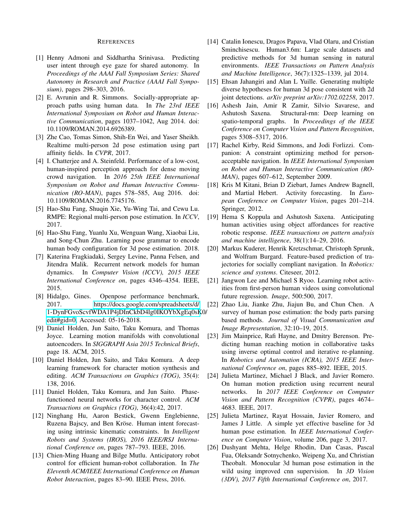## REFERENCES

- <span id="page-4-16"></span>[1] Henny Admoni and Siddhartha Srinivasa. Predicting user intent through eye gaze for shared autonomy. In *Proceedings of the AAAI Fall Symposium Series: Shared Autonomy in Research and Practice (AAAI Fall Symposium)*, pages 298–303, 2016.
- <span id="page-4-2"></span>[2] E. Avrunin and R. Simmons. Socially-appropriate approach paths using human data. In *The 23rd IEEE International Symposium on Robot and Human Interactive Communication*, pages 1037–1042, Aug 2014. doi: 10.1109/ROMAN.2014.6926389.
- <span id="page-4-3"></span>[3] Zhe Cao, Tomas Simon, Shih-En Wei, and Yaser Sheikh. Realtime multi-person 2d pose estimation using part affinity fields. In *CVPR*, 2017.
- <span id="page-4-1"></span>[4] I. Chatterjee and A. Steinfeld. Performance of a low-cost, human-inspired perception approach for dense moving crowd navigation. In *2016 25th IEEE International Symposium on Robot and Human Interactive Communication (RO-MAN)*, pages 578–585, Aug 2016. doi: 10.1109/ROMAN.2016.7745176.
- <span id="page-4-20"></span>[5] Hao-Shu Fang, Shuqin Xie, Yu-Wing Tai, and Cewu Lu. RMPE: Regional multi-person pose estimation. In *ICCV*, 2017.
- <span id="page-4-8"></span>[6] Hao-Shu Fang, Yuanlu Xu, Wenguan Wang, Xiaobai Liu, and Song-Chun Zhu. Learning pose grammar to encode human body configuration for 3d pose estimation. 2018.
- <span id="page-4-7"></span>[7] Katerina Fragkiadaki, Sergey Levine, Panna Felsen, and Jitendra Malik. Recurrent network models for human dynamics. In *Computer Vision (ICCV), 2015 IEEE International Conference on*, pages 4346–4354. IEEE, 2015.
- <span id="page-4-4"></span>[8] Hidalgo, Gines. Openpose performance benchmark, 2017. [https://docs.google.com/spreadsheets/d/](https://docs.google.com/spreadsheets/d/1-DynFGvoScvfWDA1P4jDInCkbD4lg0IKOYbXgEq0sK0/edit#gid=0) [1-DynFGvoScvfWDA1P4jDInCkbD4lg0IKOYbXgEq0sK](https://docs.google.com/spreadsheets/d/1-DynFGvoScvfWDA1P4jDInCkbD4lg0IKOYbXgEq0sK0/edit#gid=0)0/ [edit#gid=0,](https://docs.google.com/spreadsheets/d/1-DynFGvoScvfWDA1P4jDInCkbD4lg0IKOYbXgEq0sK0/edit#gid=0) Accessed: 05-16-2018.
- <span id="page-4-23"></span>[9] Daniel Holden, Jun Saito, Taku Komura, and Thomas Joyce. Learning motion manifolds with convolutional autoencoders. In *SIGGRAPH Asia 2015 Technical Briefs*, page 18. ACM, 2015.
- <span id="page-4-24"></span>[10] Daniel Holden, Jun Saito, and Taku Komura. A deep learning framework for character motion synthesis and editing. *ACM Transactions on Graphics (TOG)*, 35(4): 138, 2016.
- <span id="page-4-25"></span>[11] Daniel Holden, Taku Komura, and Jun Saito. Phasefunctioned neural networks for character control. *ACM Transactions on Graphics (TOG)*, 36(4):42, 2017.
- <span id="page-4-15"></span>[12] Ninghang Hu, Aaron Bestick, Gwenn Englebienne, Ruzena Bajscy, and Ben Kröse. Human intent forecasting using intrinsic kinematic constraints. In *Intelligent Robots and Systems (IROS), 2016 IEEE/RSJ International Conference on*, pages 787–793. IEEE, 2016.
- <span id="page-4-17"></span>[13] Chien-Ming Huang and Bilge Mutlu. Anticipatory robot control for efficient human-robot collaboration. In *The Eleventh ACM/IEEE International Conference on Human Robot Interaction*, pages 83–90. IEEE Press, 2016.
- <span id="page-4-12"></span>[14] Catalin Ionescu, Dragos Papava, Vlad Olaru, and Cristian Sminchisescu. Human3.6m: Large scale datasets and predictive methods for 3d human sensing in natural environments. *IEEE Transactions on Pattern Analysis and Machine Intelligence*, 36(7):1325–1339, jul 2014.
- <span id="page-4-11"></span>[15] Ehsan Jahangiri and Alan L Yuille. Generating multiple diverse hypotheses for human 3d pose consistent with 2d joint detections. *arXiv preprint arXiv:1702.02258*, 2017.
- <span id="page-4-9"></span>[16] Ashesh Jain, Amir R Zamir, Silvio Savarese, and Ashutosh Saxena. Structural-rnn: Deep learning on spatio-temporal graphs. In *Proceedings of the IEEE Conference on Computer Vision and Pattern Recognition*, pages 5308–5317, 2016.
- <span id="page-4-0"></span>[17] Rachel Kirby, Reid Simmons, and Jodi Forlizzi. Companion: A constraint optimizing method for personacceptable navigation. In *IEEE International Symposium on Robot and Human Interactive Communication (RO-MAN)*, pages 607–612, September 2009.
- <span id="page-4-18"></span>[18] Kris M Kitani, Brian D Ziebart, James Andrew Bagnell, and Martial Hebert. Activity forecasting. In *European Conference on Computer Vision*, pages 201–214. Springer, 2012.
- <span id="page-4-14"></span>[19] Hema S Koppula and Ashutosh Saxena. Anticipating human activities using object affordances for reactive robotic response. *IEEE transactions on pattern analysis and machine intelligence*, 38(1):14–29, 2016.
- <span id="page-4-19"></span>[20] Markus Kuderer, Henrik Kretzschmar, Christoph Sprunk, and Wolfram Burgard. Feature-based prediction of trajectories for socially compliant navigation. In *Robotics: science and systems*. Citeseer, 2012.
- <span id="page-4-6"></span>[21] Jangwon Lee and Michael S Ryoo. Learning robot activities from first-person human videos using convolutional future regression. *Image*, 500:500, 2017.
- <span id="page-4-13"></span>[22] Zhao Liu, Jianke Zhu, Jiajun Bu, and Chun Chen. A survey of human pose estimation: the body parts parsing based methods. *Journal of Visual Communication and Image Representation*, 32:10–19, 2015.
- <span id="page-4-5"></span>[23] Jim Mainprice, Rafi Hayne, and Dmitry Berenson. Predicting human reaching motion in collaborative tasks using inverse optimal control and iterative re-planning. In *Robotics and Automation (ICRA), 2015 IEEE International Conference on*, pages 885–892. IEEE, 2015.
- <span id="page-4-10"></span>[24] Julieta Martinez, Michael J Black, and Javier Romero. On human motion prediction using recurrent neural networks. In *2017 IEEE Conference on Computer Vision and Pattern Recognition (CVPR)*, pages 4674– 4683. IEEE, 2017.
- <span id="page-4-22"></span>[25] Julieta Martinez, Rayat Hossain, Javier Romero, and James J Little. A simple yet effective baseline for 3d human pose estimation. In *IEEE International Conference on Computer Vision*, volume 206, page 3, 2017.
- <span id="page-4-21"></span>[26] Dushyant Mehta, Helge Rhodin, Dan Casas, Pascal Fua, Oleksandr Sotnychenko, Weipeng Xu, and Christian Theobalt. Monocular 3d human pose estimation in the wild using improved cnn supervision. In *3D Vision (3DV), 2017 Fifth International Conference on*, 2017.